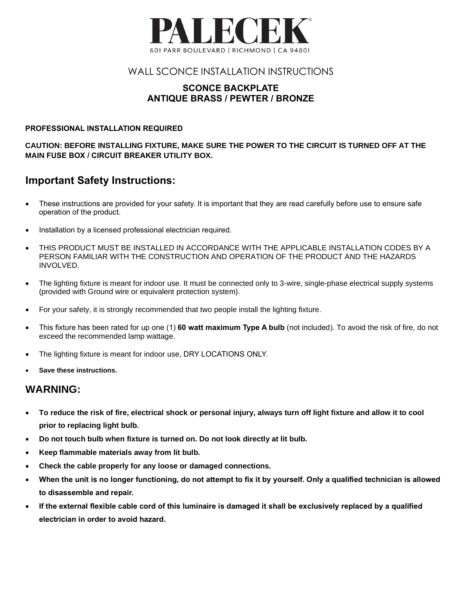

#### WALL SCONCE INSTALLATION INSTRUCTIONS

#### **SCONCE BACKPLATE ANTIQUE BRASS / PEWTER / BRONZE**

#### **PROFESSIONAL INSTALLATION REQUIRED**

**CAUTION: BEFORE INSTALLING FIXTURE, MAKE SURE THE POWER TO THE CIRCUIT IS TURNED OFF AT THE MAIN FUSE BOX / CIRCUIT BREAKER UTILITY BOX.**

## **Important Safety Instructions:**

- These instructions are provided for your safety. It is important that they are read carefully before use to ensure safe operation of the product.
- Installation by a licensed professional electrician required.
- THIS PRODUCT MUST BE INSTALLED IN ACCORDANCE WITH THE APPLICABLE INSTALLATION CODES BY A PERSON FAMILIAR WITH THE CONSTRUCTION AND OPERATION OF THE PRODUCT AND THE HAZARDS INVOLVED.
- The lighting fixture is meant for indoor use. It must be connected only to 3-wire, single-phase electrical supply systems (provided with Ground wire or equivalent protection system).
- For your safety, it is strongly recommended that two people install the lighting fixture.
- This fixture has been rated for up one (1) **60 watt maximum Type A bulb** (not included). To avoid the risk of fire, do not exceed the recommended lamp wattage.
- The lighting fixture is meant for indoor use, DRY LOCATIONS ONLY.
- **Save these instructions.**

### **WARNING:**

- **To reduce the risk of fire, electrical shock or personal injury, always turn off light fixture and allow it to cool prior to replacing light bulb.**
- **Do not touch bulb when fixture is turned on. Do not look directly at lit bulb.**
- **Keep flammable materials away from lit bulb.**
- **Check the cable properly for any loose or damaged connections.**
- **When the unit is no longer functioning, do not attempt to fix it by yourself. Only a qualified technician is allowed to disassemble and repair.**
- **If the external flexible cable cord of this luminaire is damaged it shall be exclusively replaced by a qualified electrician in order to avoid hazard.**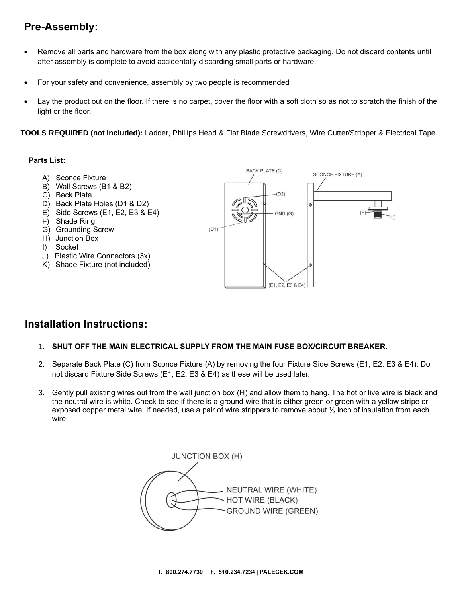# **Pre-Assembly:**

- Remove all parts and hardware from the box along with any plastic protective packaging. Do not discard contents until after assembly is complete to avoid accidentally discarding small parts or hardware.
- For your safety and convenience, assembly by two people is recommended
- Lay the product out on the floor. If there is no carpet, cover the floor with a soft cloth so as not to scratch the finish of the light or the floor.

**TOOLS REQUIRED (not included):** Ladder, Phillips Head & Flat Blade Screwdrivers, Wire Cutter/Stripper & Electrical Tape.



### **Installation Instructions:**

- 1. **SHUT OFF THE MAIN ELECTRICAL SUPPLY FROM THE MAIN FUSE BOX/CIRCUIT BREAKER.**
- 2. Separate Back Plate (C) from Sconce Fixture (A) by removing the four Fixture Side Screws (E1, E2, E3 & E4). Do not discard Fixture Side Screws (E1, E2, E3 & E4) as these will be used later.
- 3. Gently pull existing wires out from the wall junction box (H) and allow them to hang. The hot or live wire is black and the neutral wire is white. Check to see if there is a ground wire that is either green or green with a yellow stripe or exposed copper metal wire. If needed, use a pair of wire strippers to remove about  $\frac{1}{2}$  inch of insulation from each wire

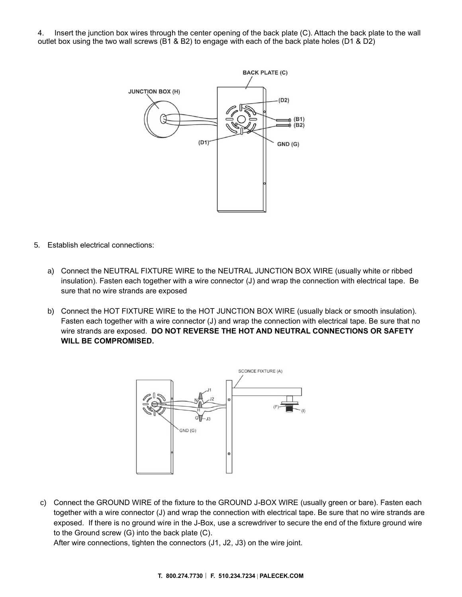4. Insert the junction box wires through the center opening of the back plate (C). Attach the back plate to the wall outlet box using the two wall screws (B1 & B2) to engage with each of the back plate holes (D1 & D2)



- 5. Establish electrical connections:
	- a) Connect the NEUTRAL FIXTURE WIRE to the NEUTRAL JUNCTION BOX WIRE (usually white or ribbed insulation). Fasten each together with a wire connector (J) and wrap the connection with electrical tape. Be sure that no wire strands are exposed
	- b) Connect the HOT FIXTURE WIRE to the HOT JUNCTION BOX WIRE (usually black or smooth insulation). Fasten each together with a wire connector (J) and wrap the connection with electrical tape. Be sure that no wire strands are exposed. **DO NOT REVERSE THE HOT AND NEUTRAL CONNECTIONS OR SAFETY WILL BE COMPROMISED.**



c) Connect the GROUND WIRE of the fixture to the GROUND J-BOX WIRE (usually green or bare). Fasten each together with a wire connector (J) and wrap the connection with electrical tape. Be sure that no wire strands are exposed. If there is no ground wire in the J-Box, use a screwdriver to secure the end of the fixture ground wire to the Ground screw (G) into the back plate (C).

After wire connections, tighten the connectors (J1, J2, J3) on the wire joint.